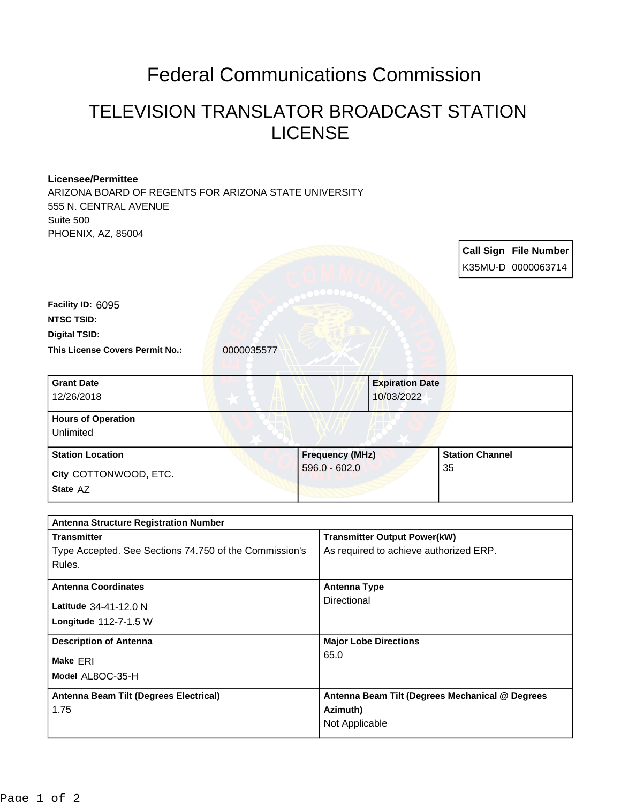## Federal Communications Commission

## TELEVISION TRANSLATOR BROADCAST STATION LICENSE

## **Licensee/Permittee**

ARIZONA BOARD OF REGENTS FOR ARIZONA STATE UNIVERSITY 555 N. CENTRAL AVENUE Suite 500 PHOENIX, AZ, 85004

**Description of Antenna Major Lobe Directions** 

|                                                                    |            |                        |                                        |                        | Call Sign File Number |
|--------------------------------------------------------------------|------------|------------------------|----------------------------------------|------------------------|-----------------------|
|                                                                    |            |                        |                                        |                        | K35MU-D 0000063714    |
|                                                                    |            |                        |                                        |                        |                       |
| Facility ID: 6095                                                  |            |                        |                                        |                        |                       |
| <b>NTSC TSID:</b>                                                  |            |                        |                                        |                        |                       |
| <b>Digital TSID:</b>                                               |            |                        |                                        |                        |                       |
| This License Covers Permit No.:                                    | 0000035577 |                        |                                        |                        |                       |
| <b>Grant Date</b>                                                  |            |                        | <b>Expiration Date</b>                 |                        |                       |
| 12/26/2018                                                         |            |                        | 10/03/2022                             |                        |                       |
| <b>Hours of Operation</b>                                          |            |                        |                                        |                        |                       |
| Unlimited                                                          |            |                        |                                        |                        |                       |
| <b>Station Location</b>                                            |            | <b>Frequency (MHz)</b> |                                        | <b>Station Channel</b> |                       |
| City COTTONWOOD, ETC.                                              |            | $596.0 - 602.0$        |                                        | 35                     |                       |
| State AZ                                                           |            |                        |                                        |                        |                       |
|                                                                    |            |                        |                                        |                        |                       |
| <b>Antenna Structure Registration Number</b><br><b>Transmitter</b> |            |                        | <b>Transmitter Output Power(kW)</b>    |                        |                       |
| Type Accepted. See Sections 74.750 of the Commission's             |            |                        | As required to achieve authorized ERP. |                        |                       |
| Rules.                                                             |            |                        |                                        |                        |                       |
| <b>Antenna Coordinates</b>                                         |            | <b>Antenna Type</b>    |                                        |                        |                       |
| Latitude 34-41-12.0 N                                              |            | Directional            |                                        |                        |                       |

65.0

**Azimuth)** Not Applicable

**Antenna Beam Tilt (Degrees Mechanical @ Degrees** 

**Model** AL8OC-35-H

**Antenna Beam Tilt (Degrees Electrical)**

**Longitude** 112-7-1.5 W

**Make** ERI

1.75